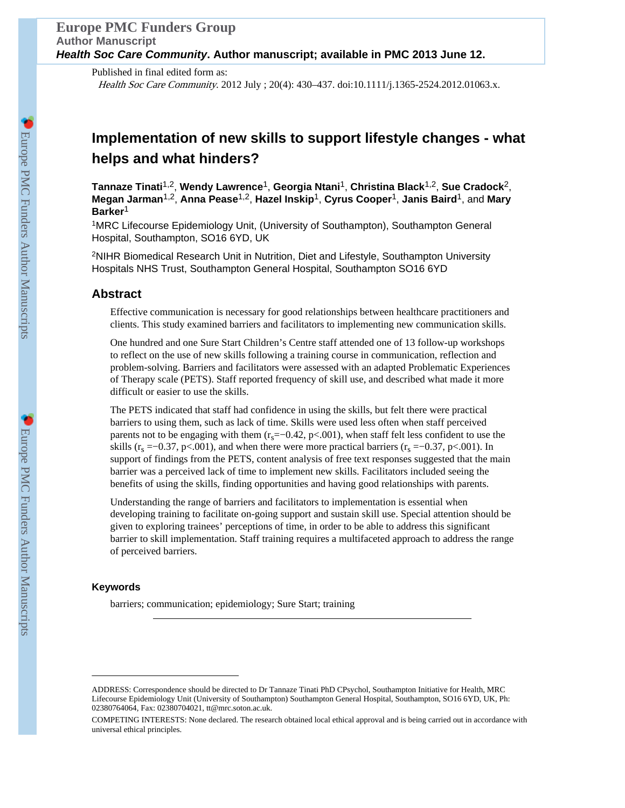Published in final edited form as:

Health Soc Care Community. 2012 July ; 20(4): 430–437. doi:10.1111/j.1365-2524.2012.01063.x.

# **Implementation of new skills to support lifestyle changes - what helps and what hinders?**

**Tannaze Tinati**1,2, **Wendy Lawrence**1, **Georgia Ntani**1, **Christina Black**1,2, **Sue Cradock**2, **Megan Jarman**1,2, **Anna Pease**1,2, **Hazel Inskip**1, **Cyrus Cooper**1, **Janis Baird**1, and **Mary Barker**<sup>1</sup>

<sup>1</sup>MRC Lifecourse Epidemiology Unit, (University of Southampton), Southampton General Hospital, Southampton, SO16 6YD, UK

<sup>2</sup>NIHR Biomedical Research Unit in Nutrition, Diet and Lifestyle, Southampton University Hospitals NHS Trust, Southampton General Hospital, Southampton SO16 6YD

# **Abstract**

Effective communication is necessary for good relationships between healthcare practitioners and clients. This study examined barriers and facilitators to implementing new communication skills.

One hundred and one Sure Start Children's Centre staff attended one of 13 follow-up workshops to reflect on the use of new skills following a training course in communication, reflection and problem-solving. Barriers and facilitators were assessed with an adapted Problematic Experiences of Therapy scale (PETS). Staff reported frequency of skill use, and described what made it more difficult or easier to use the skills.

The PETS indicated that staff had confidence in using the skills, but felt there were practical barriers to using them, such as lack of time. Skills were used less often when staff perceived parents not to be engaging with them  $(r_s=-0.42, p<0.01)$ , when staff felt less confident to use the skills ( $r_s = -0.37$ , p<.001), and when there were more practical barriers ( $r_s = -0.37$ , p<.001). In support of findings from the PETS, content analysis of free text responses suggested that the main barrier was a perceived lack of time to implement new skills. Facilitators included seeing the benefits of using the skills, finding opportunities and having good relationships with parents.

Understanding the range of barriers and facilitators to implementation is essential when developing training to facilitate on-going support and sustain skill use. Special attention should be given to exploring trainees' perceptions of time, in order to be able to address this significant barrier to skill implementation. Staff training requires a multifaceted approach to address the range of perceived barriers.

### **Keywords**

barriers; communication; epidemiology; Sure Start; training

ADDRESS: Correspondence should be directed to Dr Tannaze Tinati PhD CPsychol, Southampton Initiative for Health, MRC Lifecourse Epidemiology Unit (University of Southampton) Southampton General Hospital, Southampton, SO16 6YD, UK, Ph: 02380764064, Fax: 02380704021, tt@mrc.soton.ac.uk.

COMPETING INTERESTS: None declared. The research obtained local ethical approval and is being carried out in accordance with universal ethical principles.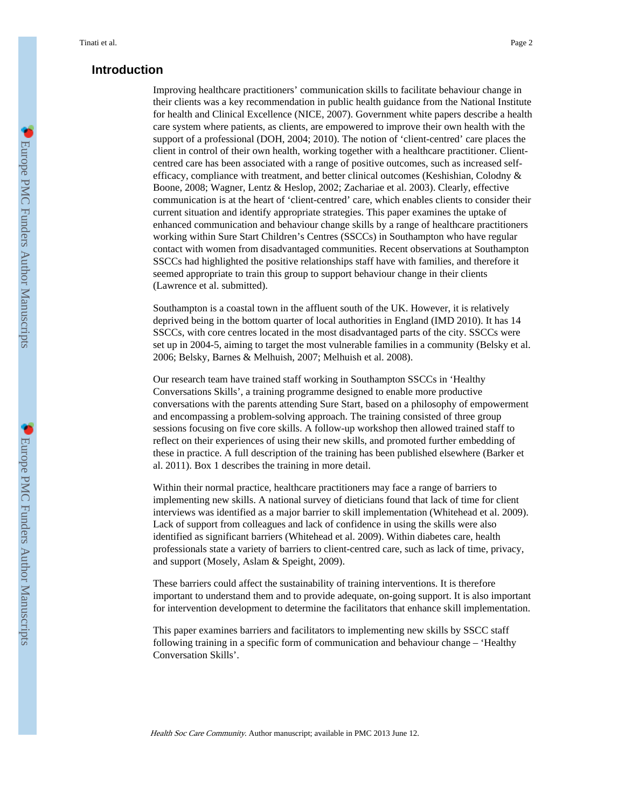# **Introduction**

Improving healthcare practitioners' communication skills to facilitate behaviour change in their clients was a key recommendation in public health guidance from the National Institute for health and Clinical Excellence (NICE, 2007). Government white papers describe a health care system where patients, as clients, are empowered to improve their own health with the support of a professional (DOH, 2004; 2010). The notion of 'client-centred' care places the client in control of their own health, working together with a healthcare practitioner. Clientcentred care has been associated with a range of positive outcomes, such as increased selfefficacy, compliance with treatment, and better clinical outcomes (Keshishian, Colodny & Boone, 2008; Wagner, Lentz & Heslop, 2002; Zachariae et al. 2003). Clearly, effective communication is at the heart of 'client-centred' care, which enables clients to consider their current situation and identify appropriate strategies. This paper examines the uptake of enhanced communication and behaviour change skills by a range of healthcare practitioners working within Sure Start Children's Centres (SSCCs) in Southampton who have regular contact with women from disadvantaged communities. Recent observations at Southampton SSCCs had highlighted the positive relationships staff have with families, and therefore it seemed appropriate to train this group to support behaviour change in their clients (Lawrence et al. submitted).

Southampton is a coastal town in the affluent south of the UK. However, it is relatively deprived being in the bottom quarter of local authorities in England (IMD 2010). It has 14 SSCCs, with core centres located in the most disadvantaged parts of the city. SSCCs were set up in 2004-5, aiming to target the most vulnerable families in a community (Belsky et al. 2006; Belsky, Barnes & Melhuish, 2007; Melhuish et al. 2008).

Our research team have trained staff working in Southampton SSCCs in 'Healthy Conversations Skills', a training programme designed to enable more productive conversations with the parents attending Sure Start, based on a philosophy of empowerment and encompassing a problem-solving approach. The training consisted of three group sessions focusing on five core skills. A follow-up workshop then allowed trained staff to reflect on their experiences of using their new skills, and promoted further embedding of these in practice. A full description of the training has been published elsewhere (Barker et al. 2011). Box 1 describes the training in more detail.

Within their normal practice, healthcare practitioners may face a range of barriers to implementing new skills. A national survey of dieticians found that lack of time for client interviews was identified as a major barrier to skill implementation (Whitehead et al. 2009). Lack of support from colleagues and lack of confidence in using the skills were also identified as significant barriers (Whitehead et al. 2009). Within diabetes care, health professionals state a variety of barriers to client-centred care, such as lack of time, privacy, and support (Mosely, Aslam & Speight, 2009).

These barriers could affect the sustainability of training interventions. It is therefore important to understand them and to provide adequate, on-going support. It is also important for intervention development to determine the facilitators that enhance skill implementation.

This paper examines barriers and facilitators to implementing new skills by SSCC staff following training in a specific form of communication and behaviour change – 'Healthy Conversation Skills'.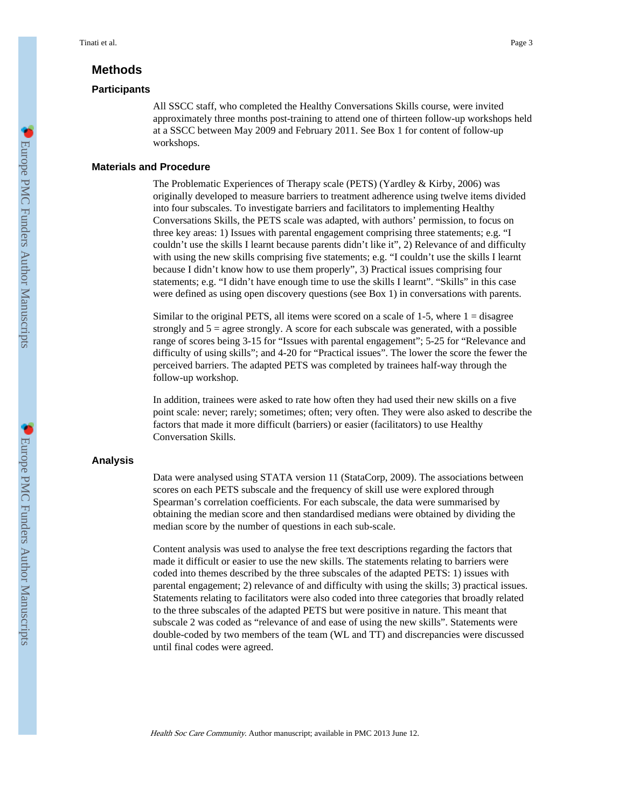### **Methods**

#### **Participants**

All SSCC staff, who completed the Healthy Conversations Skills course, were invited approximately three months post-training to attend one of thirteen follow-up workshops held at a SSCC between May 2009 and February 2011. See Box 1 for content of follow-up workshops.

#### **Materials and Procedure**

The Problematic Experiences of Therapy scale (PETS) (Yardley & Kirby, 2006) was originally developed to measure barriers to treatment adherence using twelve items divided into four subscales. To investigate barriers and facilitators to implementing Healthy Conversations Skills, the PETS scale was adapted, with authors' permission, to focus on three key areas: 1) Issues with parental engagement comprising three statements; e.g. "I couldn't use the skills I learnt because parents didn't like it", 2) Relevance of and difficulty with using the new skills comprising five statements; e.g. "I couldn't use the skills I learnt because I didn't know how to use them properly", 3) Practical issues comprising four statements; e.g. "I didn't have enough time to use the skills I learnt". "Skills" in this case were defined as using open discovery questions (see Box 1) in conversations with parents.

Similar to the original PETS, all items were scored on a scale of  $1-5$ , where  $1 =$  disagree strongly and  $5 =$  agree strongly. A score for each subscale was generated, with a possible range of scores being 3-15 for "Issues with parental engagement"; 5-25 for "Relevance and difficulty of using skills"; and 4-20 for "Practical issues". The lower the score the fewer the perceived barriers. The adapted PETS was completed by trainees half-way through the follow-up workshop.

In addition, trainees were asked to rate how often they had used their new skills on a five point scale: never; rarely; sometimes; often; very often. They were also asked to describe the factors that made it more difficult (barriers) or easier (facilitators) to use Healthy Conversation Skills.

#### **Analysis**

Data were analysed using STATA version 11 (StataCorp, 2009). The associations between scores on each PETS subscale and the frequency of skill use were explored through Spearman's correlation coefficients. For each subscale, the data were summarised by obtaining the median score and then standardised medians were obtained by dividing the median score by the number of questions in each sub-scale.

Content analysis was used to analyse the free text descriptions regarding the factors that made it difficult or easier to use the new skills. The statements relating to barriers were coded into themes described by the three subscales of the adapted PETS: 1) issues with parental engagement; 2) relevance of and difficulty with using the skills; 3) practical issues. Statements relating to facilitators were also coded into three categories that broadly related to the three subscales of the adapted PETS but were positive in nature. This meant that subscale 2 was coded as "relevance of and ease of using the new skills". Statements were double-coded by two members of the team (WL and TT) and discrepancies were discussed until final codes were agreed.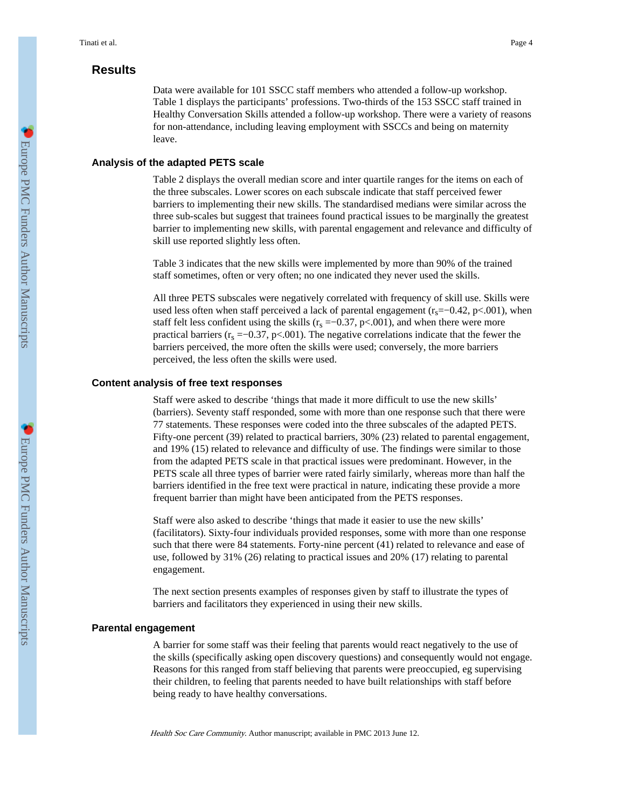# **Results**

Data were available for 101 SSCC staff members who attended a follow-up workshop. Table 1 displays the participants' professions. Two-thirds of the 153 SSCC staff trained in Healthy Conversation Skills attended a follow-up workshop. There were a variety of reasons for non-attendance, including leaving employment with SSCCs and being on maternity leave.

# **Analysis of the adapted PETS scale**

Table 2 displays the overall median score and inter quartile ranges for the items on each of the three subscales. Lower scores on each subscale indicate that staff perceived fewer barriers to implementing their new skills. The standardised medians were similar across the three sub-scales but suggest that trainees found practical issues to be marginally the greatest barrier to implementing new skills, with parental engagement and relevance and difficulty of skill use reported slightly less often.

Table 3 indicates that the new skills were implemented by more than 90% of the trained staff sometimes, often or very often; no one indicated they never used the skills.

All three PETS subscales were negatively correlated with frequency of skill use. Skills were used less often when staff perceived a lack of parental engagement ( $r_s=-0.42$ , p<.001), when staff felt less confident using the skills  $(r_s = -0.37, p < .001)$ , and when there were more practical barriers ( $r_s = -0.37$ , p<.001). The negative correlations indicate that the fewer the barriers perceived, the more often the skills were used; conversely, the more barriers perceived, the less often the skills were used.

#### **Content analysis of free text responses**

Staff were asked to describe 'things that made it more difficult to use the new skills' (barriers). Seventy staff responded, some with more than one response such that there were 77 statements. These responses were coded into the three subscales of the adapted PETS. Fifty-one percent (39) related to practical barriers, 30% (23) related to parental engagement, and 19% (15) related to relevance and difficulty of use. The findings were similar to those from the adapted PETS scale in that practical issues were predominant. However, in the PETS scale all three types of barrier were rated fairly similarly, whereas more than half the barriers identified in the free text were practical in nature, indicating these provide a more frequent barrier than might have been anticipated from the PETS responses.

Staff were also asked to describe 'things that made it easier to use the new skills' (facilitators). Sixty-four individuals provided responses, some with more than one response such that there were 84 statements. Forty-nine percent (41) related to relevance and ease of use, followed by 31% (26) relating to practical issues and 20% (17) relating to parental engagement.

The next section presents examples of responses given by staff to illustrate the types of barriers and facilitators they experienced in using their new skills.

#### **Parental engagement**

A barrier for some staff was their feeling that parents would react negatively to the use of the skills (specifically asking open discovery questions) and consequently would not engage. Reasons for this ranged from staff believing that parents were preoccupied, eg supervising their children, to feeling that parents needed to have built relationships with staff before being ready to have healthy conversations.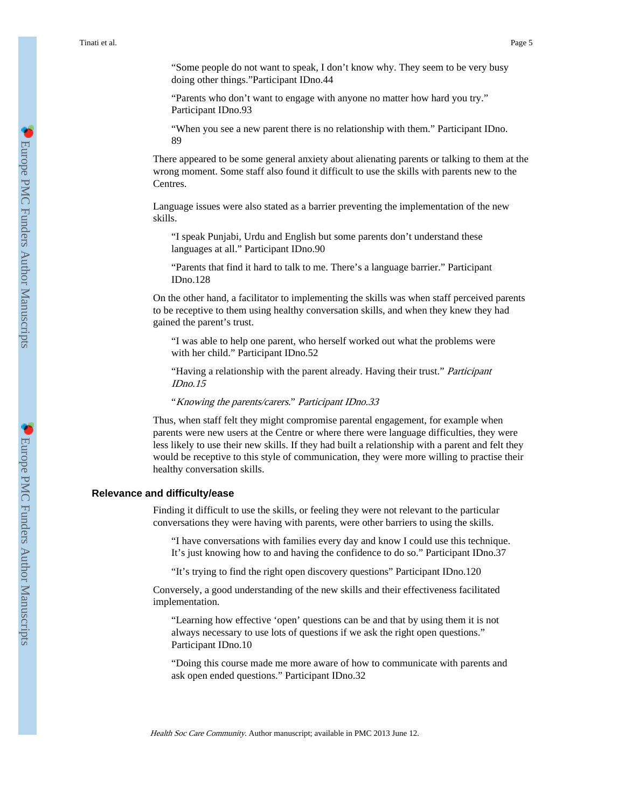"Some people do not want to speak, I don't know why. They seem to be very busy doing other things."Participant IDno.44

"Parents who don't want to engage with anyone no matter how hard you try." Participant IDno.93

"When you see a new parent there is no relationship with them." Participant IDno. 89

There appeared to be some general anxiety about alienating parents or talking to them at the wrong moment. Some staff also found it difficult to use the skills with parents new to the Centres.

Language issues were also stated as a barrier preventing the implementation of the new skills.

"I speak Punjabi, Urdu and English but some parents don't understand these languages at all." Participant IDno.90

"Parents that find it hard to talk to me. There's a language barrier." Participant IDno.128

On the other hand, a facilitator to implementing the skills was when staff perceived parents to be receptive to them using healthy conversation skills, and when they knew they had gained the parent's trust.

"I was able to help one parent, who herself worked out what the problems were with her child." Participant IDno.52

"Having a relationship with the parent already. Having their trust." Participant IDno.15

"Knowing the parents/carers." Participant IDno.33

Thus, when staff felt they might compromise parental engagement, for example when parents were new users at the Centre or where there were language difficulties, they were less likely to use their new skills. If they had built a relationship with a parent and felt they would be receptive to this style of communication, they were more willing to practise their healthy conversation skills.

#### **Relevance and difficulty/ease**

Finding it difficult to use the skills, or feeling they were not relevant to the particular conversations they were having with parents, were other barriers to using the skills.

"I have conversations with families every day and know I could use this technique. It's just knowing how to and having the confidence to do so." Participant IDno.37

"It's trying to find the right open discovery questions" Participant IDno.120

Conversely, a good understanding of the new skills and their effectiveness facilitated implementation.

"Learning how effective 'open' questions can be and that by using them it is not always necessary to use lots of questions if we ask the right open questions." Participant IDno.10

"Doing this course made me more aware of how to communicate with parents and ask open ended questions." Participant IDno.32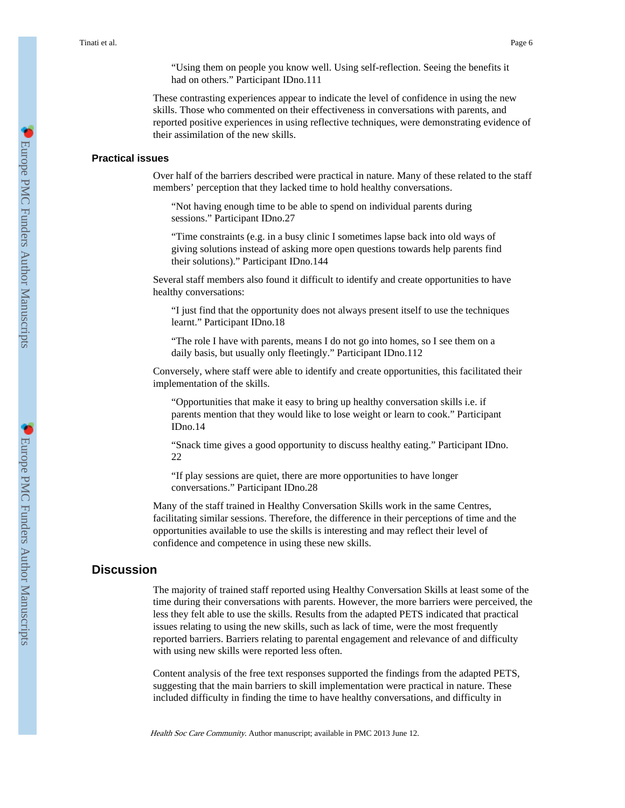"Using them on people you know well. Using self-reflection. Seeing the benefits it had on others." Participant IDno.111

These contrasting experiences appear to indicate the level of confidence in using the new skills. Those who commented on their effectiveness in conversations with parents, and reported positive experiences in using reflective techniques, were demonstrating evidence of their assimilation of the new skills.

#### **Practical issues**

Over half of the barriers described were practical in nature. Many of these related to the staff members' perception that they lacked time to hold healthy conversations.

"Not having enough time to be able to spend on individual parents during sessions." Participant IDno.27

"Time constraints (e.g. in a busy clinic I sometimes lapse back into old ways of giving solutions instead of asking more open questions towards help parents find their solutions)." Participant IDno.144

Several staff members also found it difficult to identify and create opportunities to have healthy conversations:

"I just find that the opportunity does not always present itself to use the techniques learnt." Participant IDno.18

"The role I have with parents, means I do not go into homes, so I see them on a daily basis, but usually only fleetingly." Participant IDno.112

Conversely, where staff were able to identify and create opportunities, this facilitated their implementation of the skills.

"Opportunities that make it easy to bring up healthy conversation skills i.e. if parents mention that they would like to lose weight or learn to cook." Participant IDno.14

"Snack time gives a good opportunity to discuss healthy eating." Participant IDno. 22

"If play sessions are quiet, there are more opportunities to have longer conversations." Participant IDno.28

Many of the staff trained in Healthy Conversation Skills work in the same Centres, facilitating similar sessions. Therefore, the difference in their perceptions of time and the opportunities available to use the skills is interesting and may reflect their level of confidence and competence in using these new skills.

# **Discussion**

The majority of trained staff reported using Healthy Conversation Skills at least some of the time during their conversations with parents. However, the more barriers were perceived, the less they felt able to use the skills. Results from the adapted PETS indicated that practical issues relating to using the new skills, such as lack of time, were the most frequently reported barriers. Barriers relating to parental engagement and relevance of and difficulty with using new skills were reported less often.

Content analysis of the free text responses supported the findings from the adapted PETS, suggesting that the main barriers to skill implementation were practical in nature. These included difficulty in finding the time to have healthy conversations, and difficulty in

Health Soc Care Community. Author manuscript; available in PMC 2013 June 12.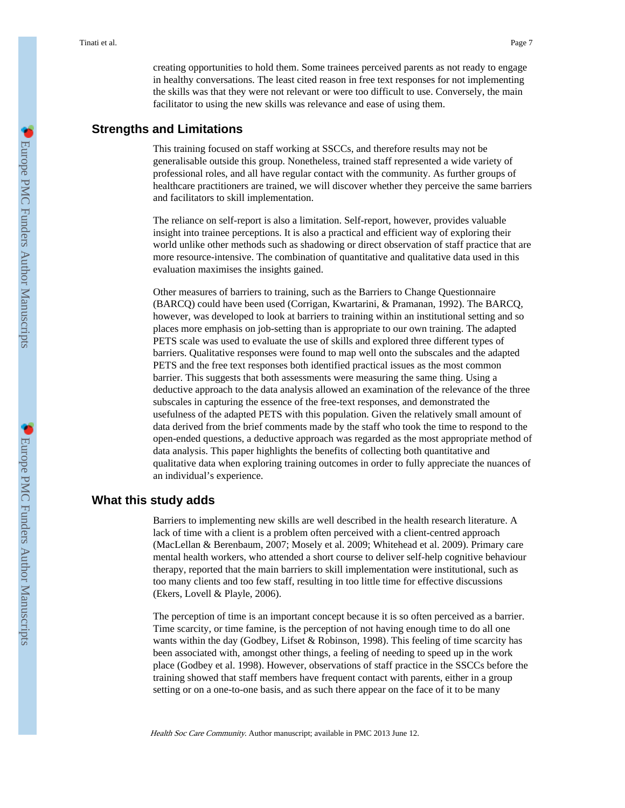creating opportunities to hold them. Some trainees perceived parents as not ready to engage in healthy conversations. The least cited reason in free text responses for not implementing the skills was that they were not relevant or were too difficult to use. Conversely, the main facilitator to using the new skills was relevance and ease of using them.

# **Strengths and Limitations**

This training focused on staff working at SSCCs, and therefore results may not be generalisable outside this group. Nonetheless, trained staff represented a wide variety of professional roles, and all have regular contact with the community. As further groups of healthcare practitioners are trained, we will discover whether they perceive the same barriers and facilitators to skill implementation.

The reliance on self-report is also a limitation. Self-report, however, provides valuable insight into trainee perceptions. It is also a practical and efficient way of exploring their world unlike other methods such as shadowing or direct observation of staff practice that are more resource-intensive. The combination of quantitative and qualitative data used in this evaluation maximises the insights gained.

Other measures of barriers to training, such as the Barriers to Change Questionnaire (BARCQ) could have been used (Corrigan, Kwartarini, & Pramanan, 1992). The BARCQ, however, was developed to look at barriers to training within an institutional setting and so places more emphasis on job-setting than is appropriate to our own training. The adapted PETS scale was used to evaluate the use of skills and explored three different types of barriers. Qualitative responses were found to map well onto the subscales and the adapted PETS and the free text responses both identified practical issues as the most common barrier. This suggests that both assessments were measuring the same thing. Using a deductive approach to the data analysis allowed an examination of the relevance of the three subscales in capturing the essence of the free-text responses, and demonstrated the usefulness of the adapted PETS with this population. Given the relatively small amount of data derived from the brief comments made by the staff who took the time to respond to the open-ended questions, a deductive approach was regarded as the most appropriate method of data analysis. This paper highlights the benefits of collecting both quantitative and qualitative data when exploring training outcomes in order to fully appreciate the nuances of an individual's experience.

## **What this study adds**

Barriers to implementing new skills are well described in the health research literature. A lack of time with a client is a problem often perceived with a client-centred approach (MacLellan & Berenbaum, 2007; Mosely et al. 2009; Whitehead et al. 2009). Primary care mental health workers, who attended a short course to deliver self-help cognitive behaviour therapy, reported that the main barriers to skill implementation were institutional, such as too many clients and too few staff, resulting in too little time for effective discussions (Ekers, Lovell & Playle, 2006).

The perception of time is an important concept because it is so often perceived as a barrier. Time scarcity, or time famine, is the perception of not having enough time to do all one wants within the day (Godbey, Lifset & Robinson, 1998). This feeling of time scarcity has been associated with, amongst other things, a feeling of needing to speed up in the work place (Godbey et al. 1998). However, observations of staff practice in the SSCCs before the training showed that staff members have frequent contact with parents, either in a group setting or on a one-to-one basis, and as such there appear on the face of it to be many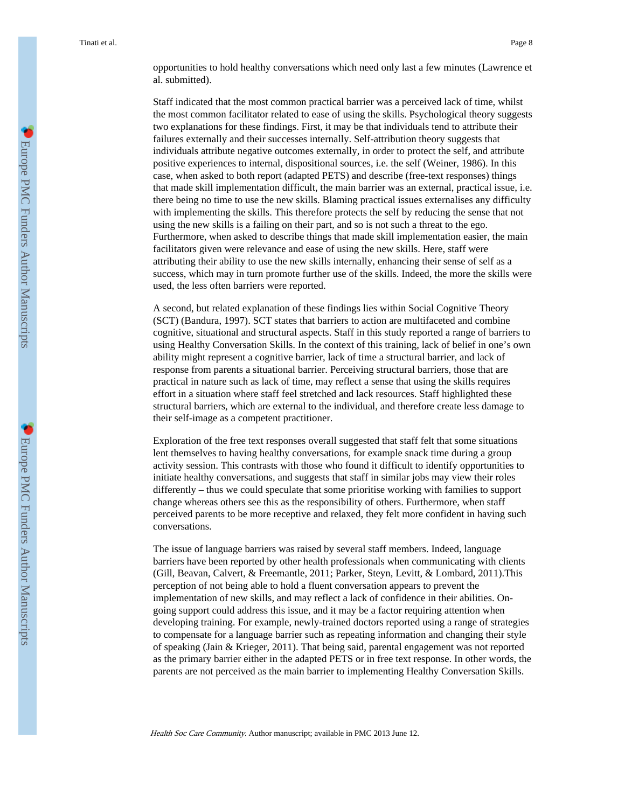opportunities to hold healthy conversations which need only last a few minutes (Lawrence et al. submitted).

Staff indicated that the most common practical barrier was a perceived lack of time, whilst the most common facilitator related to ease of using the skills. Psychological theory suggests two explanations for these findings. First, it may be that individuals tend to attribute their failures externally and their successes internally. Self-attribution theory suggests that individuals attribute negative outcomes externally, in order to protect the self, and attribute positive experiences to internal, dispositional sources, i.e. the self (Weiner, 1986). In this case, when asked to both report (adapted PETS) and describe (free-text responses) things that made skill implementation difficult, the main barrier was an external, practical issue, i.e. there being no time to use the new skills. Blaming practical issues externalises any difficulty with implementing the skills. This therefore protects the self by reducing the sense that not using the new skills is a failing on their part, and so is not such a threat to the ego. Furthermore, when asked to describe things that made skill implementation easier, the main facilitators given were relevance and ease of using the new skills. Here, staff were attributing their ability to use the new skills internally, enhancing their sense of self as a success, which may in turn promote further use of the skills. Indeed, the more the skills were used, the less often barriers were reported.

A second, but related explanation of these findings lies within Social Cognitive Theory (SCT) (Bandura, 1997). SCT states that barriers to action are multifaceted and combine cognitive, situational and structural aspects. Staff in this study reported a range of barriers to using Healthy Conversation Skills. In the context of this training, lack of belief in one's own ability might represent a cognitive barrier, lack of time a structural barrier, and lack of response from parents a situational barrier. Perceiving structural barriers, those that are practical in nature such as lack of time, may reflect a sense that using the skills requires effort in a situation where staff feel stretched and lack resources. Staff highlighted these structural barriers, which are external to the individual, and therefore create less damage to their self-image as a competent practitioner.

Exploration of the free text responses overall suggested that staff felt that some situations lent themselves to having healthy conversations, for example snack time during a group activity session. This contrasts with those who found it difficult to identify opportunities to initiate healthy conversations, and suggests that staff in similar jobs may view their roles differently – thus we could speculate that some prioritise working with families to support change whereas others see this as the responsibility of others. Furthermore, when staff perceived parents to be more receptive and relaxed, they felt more confident in having such conversations.

The issue of language barriers was raised by several staff members. Indeed, language barriers have been reported by other health professionals when communicating with clients (Gill, Beavan, Calvert, & Freemantle, 2011; Parker, Steyn, Levitt, & Lombard, 2011).This perception of not being able to hold a fluent conversation appears to prevent the implementation of new skills, and may reflect a lack of confidence in their abilities. Ongoing support could address this issue, and it may be a factor requiring attention when developing training. For example, newly-trained doctors reported using a range of strategies to compensate for a language barrier such as repeating information and changing their style of speaking (Jain & Krieger, 2011). That being said, parental engagement was not reported as the primary barrier either in the adapted PETS or in free text response. In other words, the parents are not perceived as the main barrier to implementing Healthy Conversation Skills.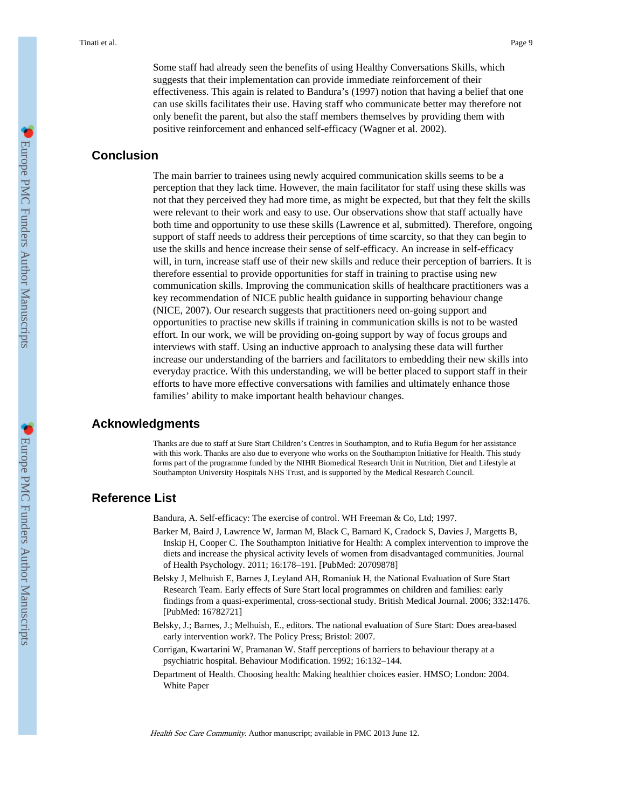Some staff had already seen the benefits of using Healthy Conversations Skills, which suggests that their implementation can provide immediate reinforcement of their effectiveness. This again is related to Bandura's (1997) notion that having a belief that one can use skills facilitates their use. Having staff who communicate better may therefore not only benefit the parent, but also the staff members themselves by providing them with positive reinforcement and enhanced self-efficacy (Wagner et al. 2002).

# **Conclusion**

The main barrier to trainees using newly acquired communication skills seems to be a perception that they lack time. However, the main facilitator for staff using these skills was not that they perceived they had more time, as might be expected, but that they felt the skills were relevant to their work and easy to use. Our observations show that staff actually have both time and opportunity to use these skills (Lawrence et al, submitted). Therefore, ongoing support of staff needs to address their perceptions of time scarcity, so that they can begin to use the skills and hence increase their sense of self-efficacy. An increase in self-efficacy will, in turn, increase staff use of their new skills and reduce their perception of barriers. It is therefore essential to provide opportunities for staff in training to practise using new communication skills. Improving the communication skills of healthcare practitioners was a key recommendation of NICE public health guidance in supporting behaviour change (NICE, 2007). Our research suggests that practitioners need on-going support and opportunities to practise new skills if training in communication skills is not to be wasted effort. In our work, we will be providing on-going support by way of focus groups and interviews with staff. Using an inductive approach to analysing these data will further increase our understanding of the barriers and facilitators to embedding their new skills into everyday practice. With this understanding, we will be better placed to support staff in their efforts to have more effective conversations with families and ultimately enhance those families' ability to make important health behaviour changes.

### **Acknowledgments**

Thanks are due to staff at Sure Start Children's Centres in Southampton, and to Rufia Begum for her assistance with this work. Thanks are also due to everyone who works on the Southampton Initiative for Health. This study forms part of the programme funded by the NIHR Biomedical Research Unit in Nutrition, Diet and Lifestyle at Southampton University Hospitals NHS Trust, and is supported by the Medical Research Council.

# **Reference List**

Bandura, A. Self-efficacy: The exercise of control. WH Freeman & Co, Ltd; 1997.

- Barker M, Baird J, Lawrence W, Jarman M, Black C, Barnard K, Cradock S, Davies J, Margetts B, Inskip H, Cooper C. The Southampton Initiative for Health: A complex intervention to improve the diets and increase the physical activity levels of women from disadvantaged communities. Journal of Health Psychology. 2011; 16:178–191. [PubMed: 20709878]
- Belsky J, Melhuish E, Barnes J, Leyland AH, Romaniuk H, the National Evaluation of Sure Start Research Team. Early effects of Sure Start local programmes on children and families: early findings from a quasi-experimental, cross-sectional study. British Medical Journal. 2006; 332:1476. [PubMed: 16782721]
- Belsky, J.; Barnes, J.; Melhuish, E., editors. The national evaluation of Sure Start: Does area-based early intervention work?. The Policy Press; Bristol: 2007.
- Corrigan, Kwartarini W, Pramanan W. Staff perceptions of barriers to behaviour therapy at a psychiatric hospital. Behaviour Modification. 1992; 16:132–144.
- Department of Health. Choosing health: Making healthier choices easier. HMSO; London: 2004. White Paper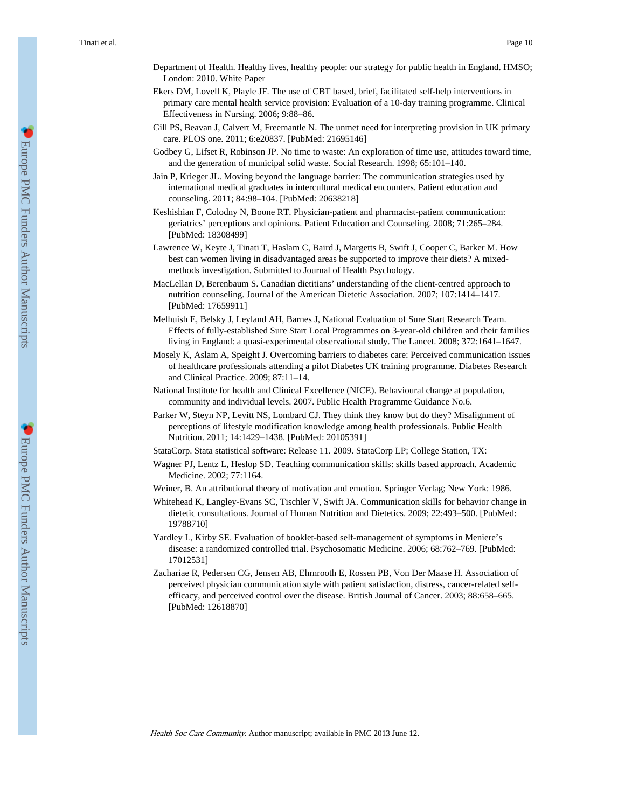- Department of Health. Healthy lives, healthy people: our strategy for public health in England. HMSO; London: 2010. White Paper
- Ekers DM, Lovell K, Playle JF. The use of CBT based, brief, facilitated self-help interventions in primary care mental health service provision: Evaluation of a 10-day training programme. Clinical Effectiveness in Nursing. 2006; 9:88–86.
- Gill PS, Beavan J, Calvert M, Freemantle N. The unmet need for interpreting provision in UK primary care. PLOS one. 2011; 6:e20837. [PubMed: 21695146]
- Godbey G, Lifset R, Robinson JP. No time to waste: An exploration of time use, attitudes toward time, and the generation of municipal solid waste. Social Research. 1998; 65:101–140.
- Jain P, Krieger JL. Moving beyond the language barrier: The communication strategies used by international medical graduates in intercultural medical encounters. Patient education and counseling. 2011; 84:98–104. [PubMed: 20638218]
- Keshishian F, Colodny N, Boone RT. Physician-patient and pharmacist-patient communication: geriatrics' perceptions and opinions. Patient Education and Counseling. 2008; 71:265–284. [PubMed: 18308499]
- Lawrence W, Keyte J, Tinati T, Haslam C, Baird J, Margetts B, Swift J, Cooper C, Barker M. How best can women living in disadvantaged areas be supported to improve their diets? A mixedmethods investigation. Submitted to Journal of Health Psychology.
- MacLellan D, Berenbaum S. Canadian dietitians' understanding of the client-centred approach to nutrition counseling. Journal of the American Dietetic Association. 2007; 107:1414–1417. [PubMed: 17659911]
- Melhuish E, Belsky J, Leyland AH, Barnes J, National Evaluation of Sure Start Research Team. Effects of fully-established Sure Start Local Programmes on 3-year-old children and their families living in England: a quasi-experimental observational study. The Lancet. 2008; 372:1641–1647.
- Mosely K, Aslam A, Speight J. Overcoming barriers to diabetes care: Perceived communication issues of healthcare professionals attending a pilot Diabetes UK training programme. Diabetes Research and Clinical Practice. 2009; 87:11–14.
- National Institute for health and Clinical Excellence (NICE). Behavioural change at population, community and individual levels. 2007. Public Health Programme Guidance No.6.
- Parker W, Steyn NP, Levitt NS, Lombard CJ. They think they know but do they? Misalignment of perceptions of lifestyle modification knowledge among health professionals. Public Health Nutrition. 2011; 14:1429–1438. [PubMed: 20105391]
- StataCorp. Stata statistical software: Release 11. 2009. StataCorp LP; College Station, TX:
- Wagner PJ, Lentz L, Heslop SD. Teaching communication skills: skills based approach. Academic Medicine. 2002; 77:1164.
- Weiner, B. An attributional theory of motivation and emotion. Springer Verlag; New York: 1986.
- Whitehead K, Langley-Evans SC, Tischler V, Swift JA. Communication skills for behavior change in dietetic consultations. Journal of Human Nutrition and Dietetics. 2009; 22:493–500. [PubMed: 19788710]
- Yardley L, Kirby SE. Evaluation of booklet-based self-management of symptoms in Meniere's disease: a randomized controlled trial. Psychosomatic Medicine. 2006; 68:762–769. [PubMed: 17012531]
- Zachariae R, Pedersen CG, Jensen AB, Ehrnrooth E, Rossen PB, Von Der Maase H. Association of perceived physician communication style with patient satisfaction, distress, cancer-related selfefficacy, and perceived control over the disease. British Journal of Cancer. 2003; 88:658–665. [PubMed: 12618870]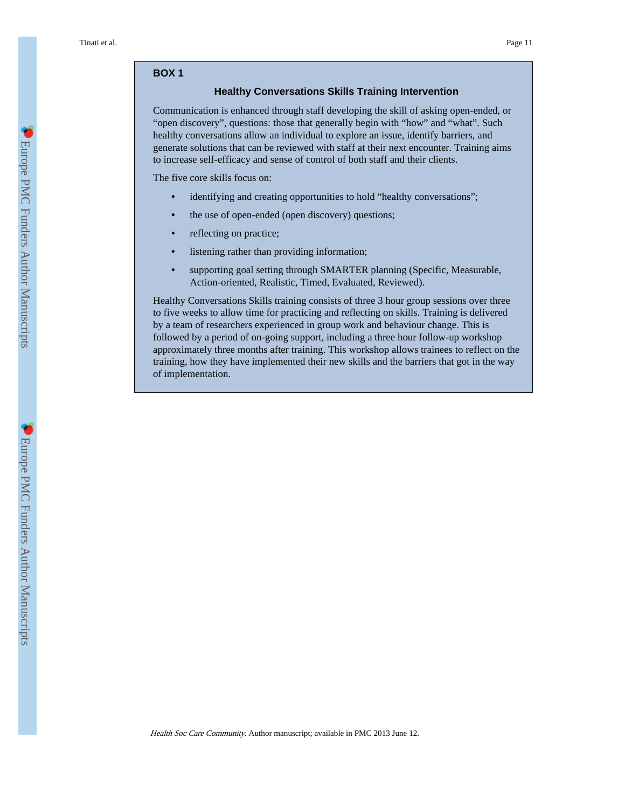# **BOX 1**

#### **Healthy Conversations Skills Training Intervention**

Communication is enhanced through staff developing the skill of asking open-ended, or "open discovery", questions: those that generally begin with "how" and "what". Such healthy conversations allow an individual to explore an issue, identify barriers, and generate solutions that can be reviewed with staff at their next encounter. Training aims to increase self-efficacy and sense of control of both staff and their clients.

The five core skills focus on:

- identifying and creating opportunities to hold "healthy conversations";
- **•** the use of open-ended (open discovery) questions;
- **•** reflecting on practice;
- **•** listening rather than providing information;
- **•** supporting goal setting through SMARTER planning (Specific, Measurable, Action-oriented, Realistic, Timed, Evaluated, Reviewed).

Healthy Conversations Skills training consists of three 3 hour group sessions over three to five weeks to allow time for practicing and reflecting on skills. Training is delivered by a team of researchers experienced in group work and behaviour change. This is followed by a period of on-going support, including a three hour follow-up workshop approximately three months after training. This workshop allows trainees to reflect on the training, how they have implemented their new skills and the barriers that got in the way of implementation.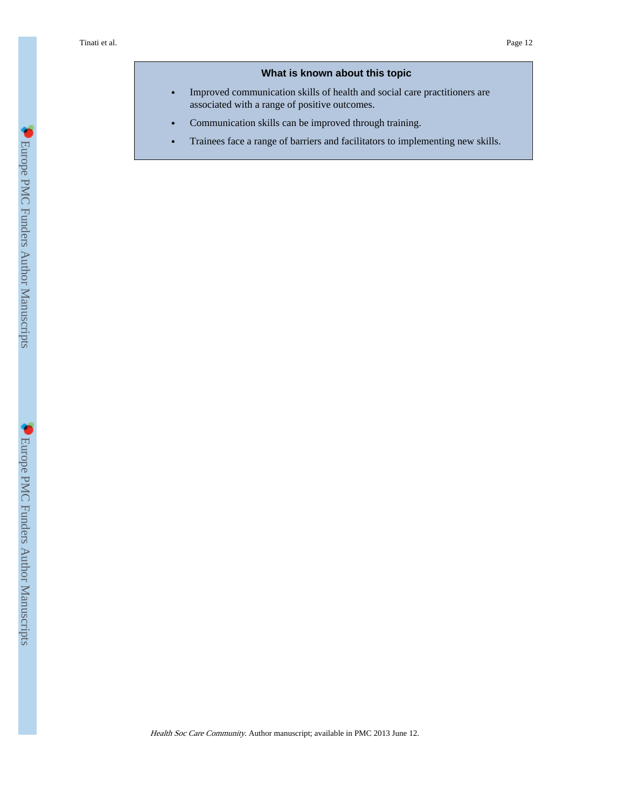## **What is known about this topic**

- **•** Improved communication skills of health and social care practitioners are associated with a range of positive outcomes.
- **•** Communication skills can be improved through training.
- **•** Trainees face a range of barriers and facilitators to implementing new skills.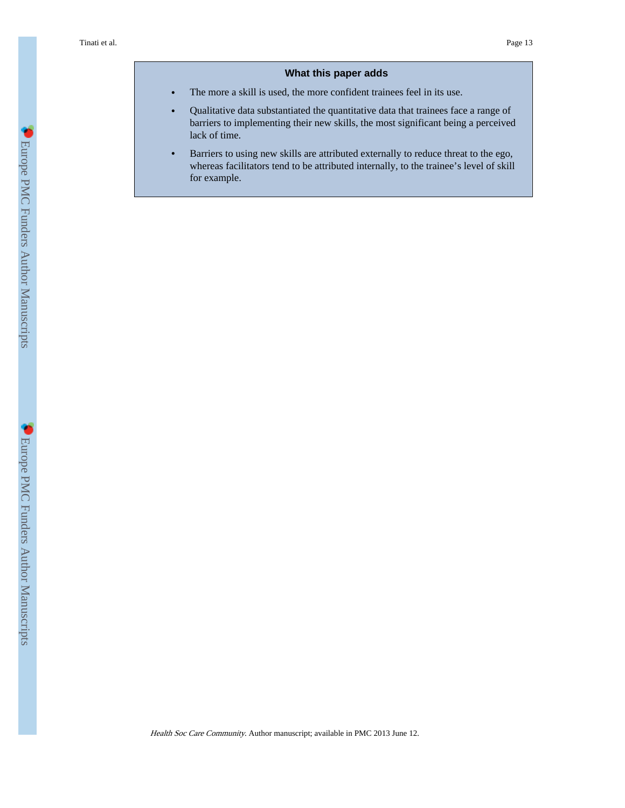#### **What this paper adds**

**•** The more a skill is used, the more confident trainees feel in its use.

- **•** Qualitative data substantiated the quantitative data that trainees face a range of barriers to implementing their new skills, the most significant being a perceived lack of time.
- **•** Barriers to using new skills are attributed externally to reduce threat to the ego, whereas facilitators tend to be attributed internally, to the trainee's level of skill for example.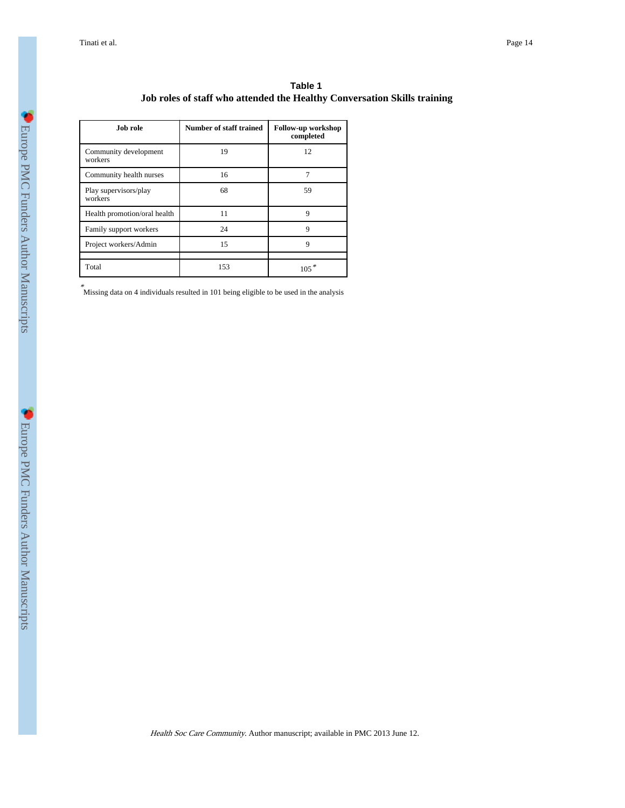| Table 1                                                                  |  |
|--------------------------------------------------------------------------|--|
| Job roles of staff who attended the Healthy Conversation Skills training |  |

| Job role                         | <b>Number of staff trained</b> | <b>Follow-up workshop</b><br>completed |
|----------------------------------|--------------------------------|----------------------------------------|
| Community development<br>workers | 19                             | 12                                     |
| Community health nurses          | 16                             | 7                                      |
| Play supervisors/play<br>workers | 68                             | 59                                     |
| Health promotion/oral health     | 11                             | 9                                      |
| Family support workers           | 24                             | 9                                      |
| Project workers/Admin            | 15                             | 9                                      |
|                                  |                                |                                        |
| Total                            | 153                            | 105                                    |

\* Missing data on 4 individuals resulted in 101 being eligible to be used in the analysis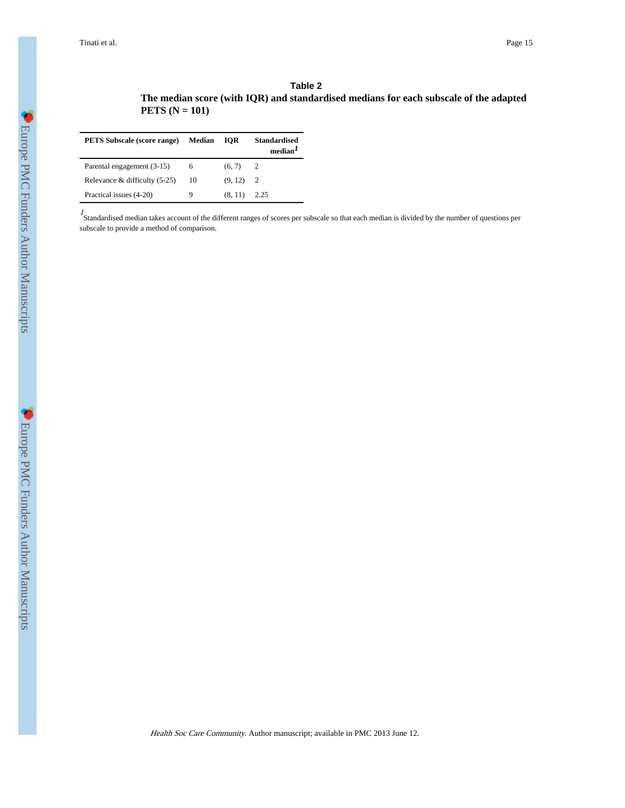### **Table 2 The median score (with IQR) and standardised medians for each subscale of the adapted PETS (N = 101)**

| <b>PETS Subscale (score range)</b> | Median | <b>IOR</b> | <b>Standardised</b><br>median <sup>I</sup> |
|------------------------------------|--------|------------|--------------------------------------------|
| Parental engagement (3-15)         |        | (6, 7)     | -2                                         |
| Relevance $&$ difficulty $(5-25)$  | 10     | (9, 12)    | $\overline{2}$                             |
| Practical issues (4-20)            | 9      | (8.11)     | 2.25                                       |

I<br>Standardised median takes account of the different ranges of scores per subscale so that each median is divided by the number of questions per subscale to provide a method of comparison.

Health Soc Care Community. Author manuscript; available in PMC 2013 June 12.